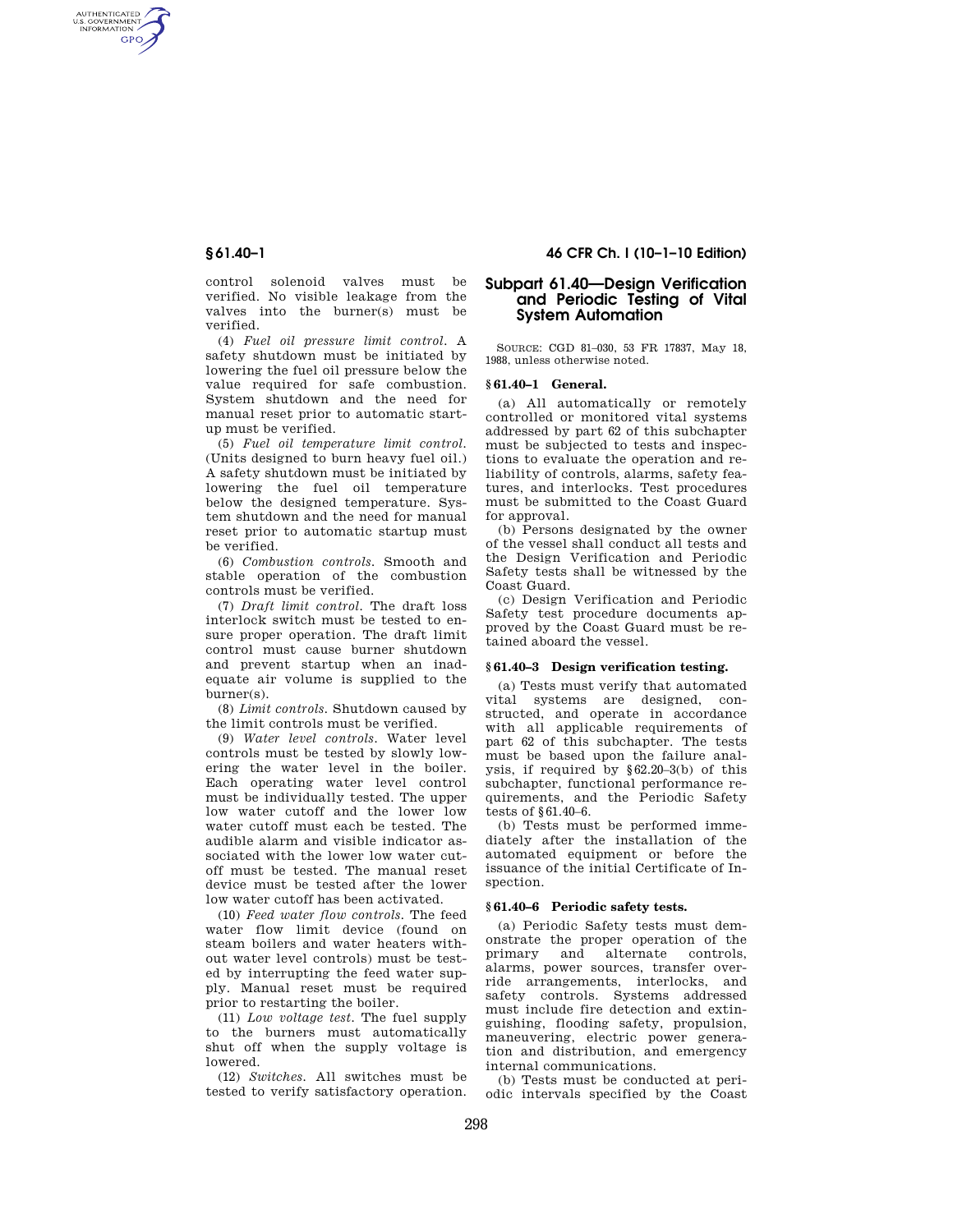AUTHENTICATED<br>U.S. GOVERNMENT<br>INFORMATION GPO

> control solenoid valves must be verified. No visible leakage from the valves into the burner(s) must be verified.

> (4) *Fuel oil pressure limit control.* A safety shutdown must be initiated by lowering the fuel oil pressure below the value required for safe combustion. System shutdown and the need for manual reset prior to automatic startup must be verified.

> (5) *Fuel oil temperature limit control.*  (Units designed to burn heavy fuel oil.) A safety shutdown must be initiated by lowering the fuel oil temperature below the designed temperature. System shutdown and the need for manual reset prior to automatic startup must be verified.

> (6) *Combustion controls.* Smooth and stable operation of the combustion controls must be verified.

> (7) *Draft limit control.* The draft loss interlock switch must be tested to ensure proper operation. The draft limit control must cause burner shutdown and prevent startup when an inadequate air volume is supplied to the burner(s).

(8) *Limit controls.* Shutdown caused by the limit controls must be verified.

(9) *Water level controls.* Water level controls must be tested by slowly lowering the water level in the boiler. Each operating water level control must be individually tested. The upper low water cutoff and the lower low water cutoff must each be tested. The audible alarm and visible indicator associated with the lower low water cutoff must be tested. The manual reset device must be tested after the lower low water cutoff has been activated.

(10) *Feed water flow controls.* The feed water flow limit device (found on steam boilers and water heaters without water level controls) must be tested by interrupting the feed water supply. Manual reset must be required prior to restarting the boiler.

(11) *Low voltage test.* The fuel supply to the burners must automatically shut off when the supply voltage is lowered.

(12) *Switches.* All switches must be tested to verify satisfactory operation.

# **§ 61.40–1 46 CFR Ch. I (10–1–10 Edition)**

# **Subpart 61.40—Design Verification and Periodic Testing of Vital System Automation**

SOURCE: CGD 81-030, 53 FR 17837, May 18 1988, unless otherwise noted.

## **§ 61.40–1 General.**

(a) All automatically or remotely controlled or monitored vital systems addressed by part 62 of this subchapter must be subjected to tests and inspections to evaluate the operation and reliability of controls, alarms, safety features, and interlocks. Test procedures must be submitted to the Coast Guard for approval.

(b) Persons designated by the owner of the vessel shall conduct all tests and the Design Verification and Periodic Safety tests shall be witnessed by the Coast Guard.

(c) Design Verification and Periodic Safety test procedure documents approved by the Coast Guard must be retained aboard the vessel.

#### **§ 61.40–3 Design verification testing.**

(a) Tests must verify that automated vital systems are designed, constructed, and operate in accordance with all applicable requirements of part 62 of this subchapter. The tests must be based upon the failure analysis, if required by §62.20–3(b) of this subchapter, functional performance requirements, and the Periodic Safety tests of §61.40–6.

(b) Tests must be performed immediately after the installation of the automated equipment or before the issuance of the initial Certificate of Inspection.

# **§ 61.40–6 Periodic safety tests.**

(a) Periodic Safety tests must demonstrate the proper operation of the<br>primary and alternate controls. and alternate controls, alarms, power sources, transfer override arrangements, interlocks, and safety controls. Systems addressed must include fire detection and extinguishing, flooding safety, propulsion, maneuvering, electric power generation and distribution, and emergency internal communications.

(b) Tests must be conducted at periodic intervals specified by the Coast